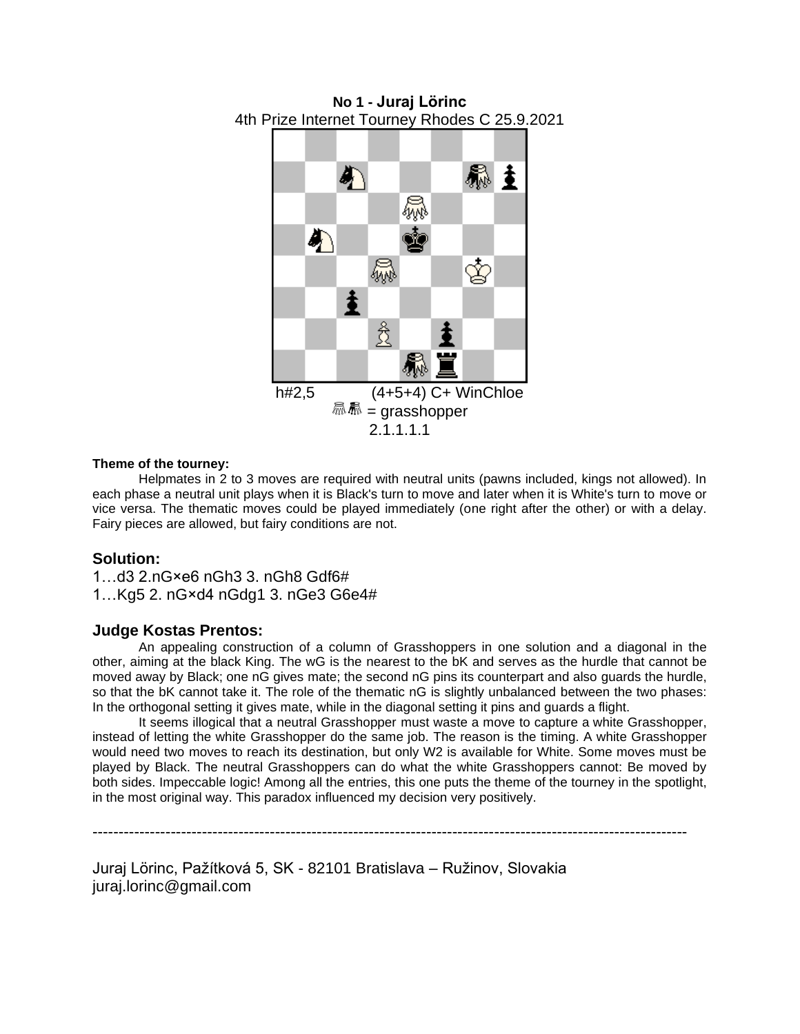

**No 1 - Juraj Lörinc** 4th Prize Internet Tourney Rhodes C 25.9.2021

### **Theme of the tourney:**

Helpmates in 2 to 3 moves are required with neutral units (pawns included, kings not allowed). In each phase a neutral unit plays when it is Black's turn to move and later when it is White's turn to move or vice versa. The thematic moves could be played immediately (one right after the other) or with a delay. Fairy pieces are allowed, but fairy conditions are not.

## **Solution:**

1…d3 2.nG×e6 nGh3 3. nGh8 Gdf6# 1…Kg5 2. nG×d4 nGdg1 3. nGe3 G6e4#

## **Judge Kostas Prentos:**

An appealing construction of a column of Grasshoppers in one solution and a diagonal in the other, aiming at the black King. The wG is the nearest to the bK and serves as the hurdle that cannot be moved away by Black; one nG gives mate; the second nG pins its counterpart and also guards the hurdle, so that the bK cannot take it. The role of the thematic nG is slightly unbalanced between the two phases: In the orthogonal setting it gives mate, while in the diagonal setting it pins and guards a flight.

It seems illogical that a neutral Grasshopper must waste a move to capture a white Grasshopper, instead of letting the white Grasshopper do the same job. The reason is the timing. A white Grasshopper would need two moves to reach its destination, but only W2 is available for White. Some moves must be played by Black. The neutral Grasshoppers can do what the white Grasshoppers cannot: Be moved by both sides. Impeccable logic! Among all the entries, this one puts the theme of the tourney in the spotlight, in the most original way. This paradox influenced my decision very positively.

------------------------------------------------------------------------------------------------------------------

Juraj Lörinc, Pažítková 5, SK - 82101 Bratislava – Ružinov, Slovakia juraj.lorinc@gmail.com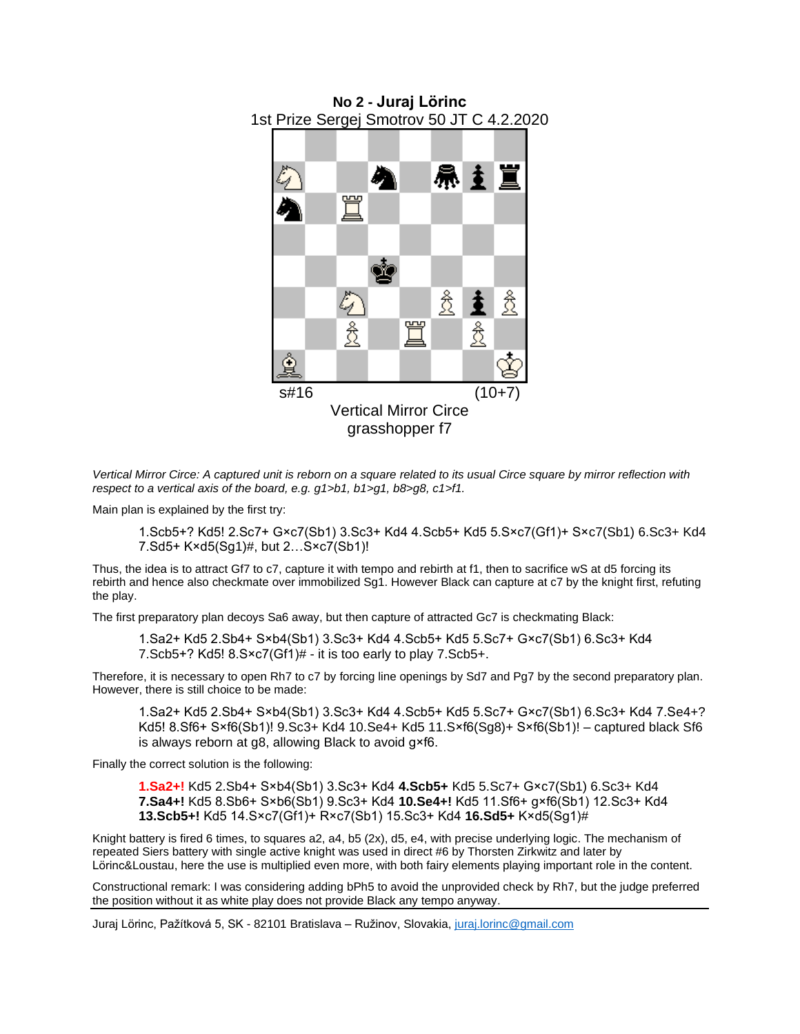

*Vertical Mirror Circe: A captured unit is reborn on a square related to its usual Circe square by mirror reflection with respect to a vertical axis of the board, e.g. g1>b1, b1>g1, b8>g8, c1>f1.*

Main plan is explained by the first try:

1.Scb5+? Kd5! 2.Sc7+ G×c7(Sb1) 3.Sc3+ Kd4 4.Scb5+ Kd5 5.S×c7(Gf1)+ S×c7(Sb1) 6.Sc3+ Kd4 7.Sd5+ K×d5(Sg1)#, but 2…S×c7(Sb1)!

Thus, the idea is to attract Gf7 to c7, capture it with tempo and rebirth at f1, then to sacrifice wS at d5 forcing its rebirth and hence also checkmate over immobilized Sg1. However Black can capture at c7 by the knight first, refuting the play.

The first preparatory plan decoys Sa6 away, but then capture of attracted Gc7 is checkmating Black:

1.Sa2+ Kd5 2.Sb4+ S×b4(Sb1) 3.Sc3+ Kd4 4.Scb5+ Kd5 5.Sc7+ G×c7(Sb1) 6.Sc3+ Kd4 7.Scb5+? Kd5! 8.S×c7(Gf1)# - it is too early to play 7.Scb5+.

Therefore, it is necessary to open Rh7 to c7 by forcing line openings by Sd7 and Pg7 by the second preparatory plan. However, there is still choice to be made:

1.Sa2+ Kd5 2.Sb4+ S×b4(Sb1) 3.Sc3+ Kd4 4.Scb5+ Kd5 5.Sc7+ G×c7(Sb1) 6.Sc3+ Kd4 7.Se4+? Kd5! 8.Sf6+ S×f6(Sb1)! 9.Sc3+ Kd4 10.Se4+ Kd5 11.S×f6(Sg8)+ S×f6(Sb1)! – captured black Sf6 is always reborn at g8, allowing Black to avoid g×f6.

Finally the correct solution is the following:

**1.Sa2+!** Kd5 2.Sb4+ S×b4(Sb1) 3.Sc3+ Kd4 **4.Scb5+** Kd5 5.Sc7+ G×c7(Sb1) 6.Sc3+ Kd4 **7.Sa4+!** Kd5 8.Sb6+ S×b6(Sb1) 9.Sc3+ Kd4 **10.Se4+!** Kd5 11.Sf6+ g×f6(Sb1) 12.Sc3+ Kd4 **13.Scb5+!** Kd5 14.S×c7(Gf1)+ R×c7(Sb1) 15.Sc3+ Kd4 **16.Sd5+** K×d5(Sg1)#

Knight battery is fired 6 times, to squares a2, a4, b5 (2x), d5, e4, with precise underlying logic. The mechanism of repeated Siers battery with single active knight was used in direct #6 by Thorsten Zirkwitz and later by Lörinc&Loustau, here the use is multiplied even more, with both fairy elements playing important role in the content.

Constructional remark: I was considering adding bPh5 to avoid the unprovided check by Rh7, but the judge preferred the position without it as white play does not provide Black any tempo anyway.

Juraj Lörinc, Pažítková 5, SK - 82101 Bratislava – Ružinov, Slovakia, [juraj.lorinc@gmail.com](mailto:juraj.lorinc@gmail.com)

**No 2 - Juraj Lörinc** 1st Prize Sergej Smotrov 50 JT C 4.2.2020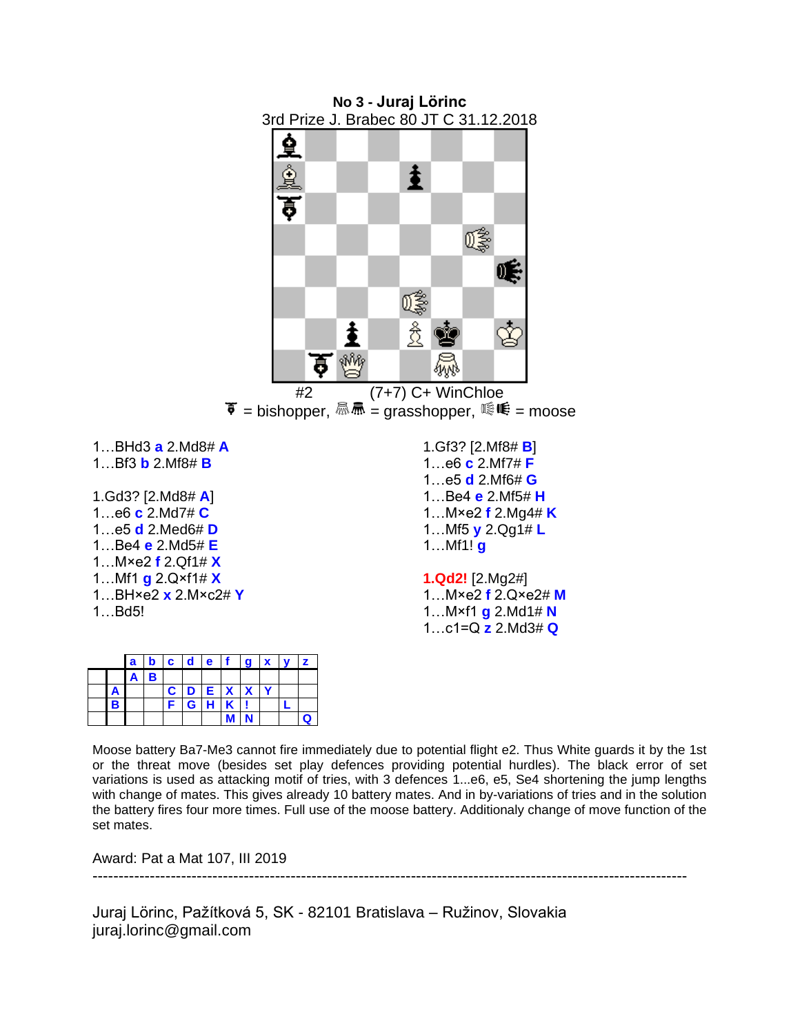

|  | $a \mid b \mid c \mid d \mid e \mid f$ |              |    |         |     | $\vert$ a $\vert$ x |  |  |
|--|----------------------------------------|--------------|----|---------|-----|---------------------|--|--|
|  |                                        |              |    |         |     |                     |  |  |
|  |                                        | $\mathbf{c}$ |    | D E X X |     |                     |  |  |
|  |                                        |              | G. |         | H K |                     |  |  |
|  |                                        |              |    |         |     |                     |  |  |

Moose battery Ba7-Me3 cannot fire immediately due to potential flight e2. Thus White guards it by the 1st or the threat move (besides set play defences providing potential hurdles). The black error of set variations is used as attacking motif of tries, with 3 defences 1...e6, e5, Se4 shortening the jump lengths with change of mates. This gives already 10 battery mates. And in by-variations of tries and in the solution the battery fires four more times. Full use of the moose battery. Additionaly change of move function of the set mates.

Award: Pat a Mat 107, III 2019

------------------------------------------------------------------------------------------------------------------

Juraj Lörinc, Pažítková 5, SK - 82101 Bratislava – Ružinov, Slovakia juraj.lorinc@gmail.com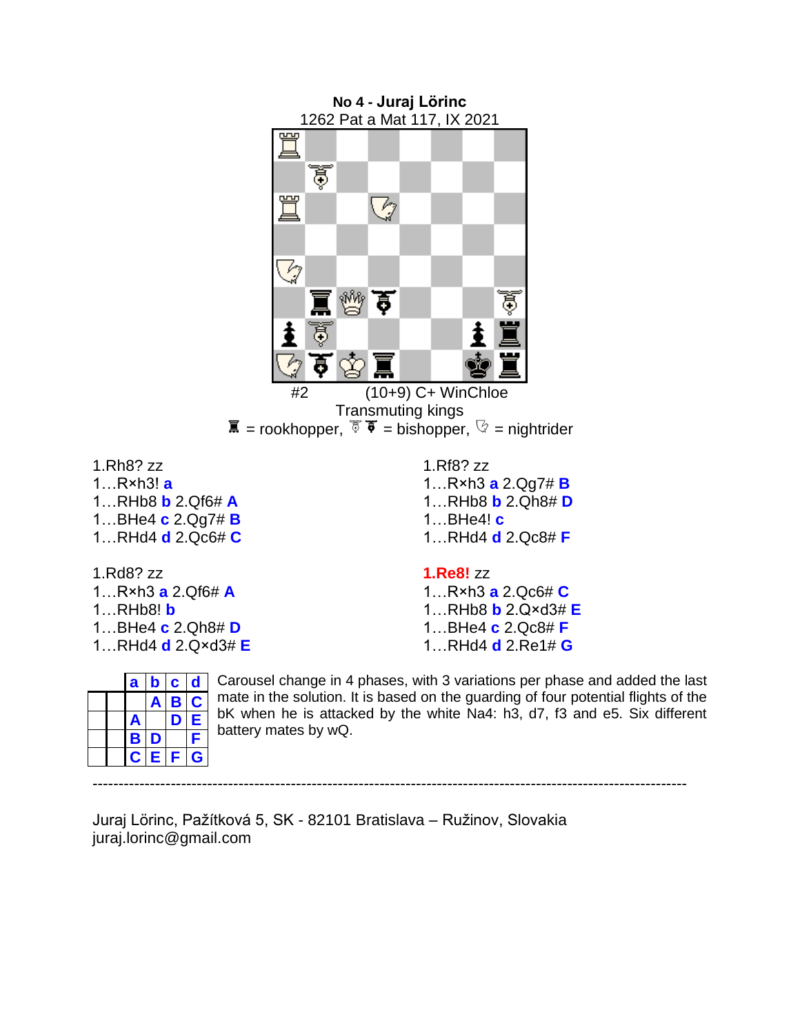

1.Rd8? zz 1…R×h3 **a** 2.Qf6# **A** 1…RHb8! **b** 1…BHe4 **c** 2.Qh8# **D** 1…RHd4 **d** 2.Q×d3# **E**

1.Rh8? zz 1…R×h3! **a**

**1.Re8!** zz

1…R×h3 **a** 2.Qc6# **C** 1…RHb8 **b** 2.Q×d3# **E** 1…BHe4 **c** 2.Qc8# **F** 1…RHd4 **d** 2.Re1# **G**

|  | a           | b  | C | a |  |
|--|-------------|----|---|---|--|
|  |             |    | В | C |  |
|  | Ą           |    | υ | Е |  |
|  | В           | D  |   | Я |  |
|  | $\mathbf C$ | €. | F | G |  |

Carousel change in 4 phases, with 3 variations per phase and added the last mate in the solution. It is based on the guarding of four potential flights of the bK when he is attacked by the white Na4: h3, d7, f3 and e5. Six different battery mates by wQ.

------------------------------------------------------------------------------------------------------------------

Juraj Lörinc, Pažítková 5, SK - 82101 Bratislava – Ružinov, Slovakia juraj.lorinc@gmail.com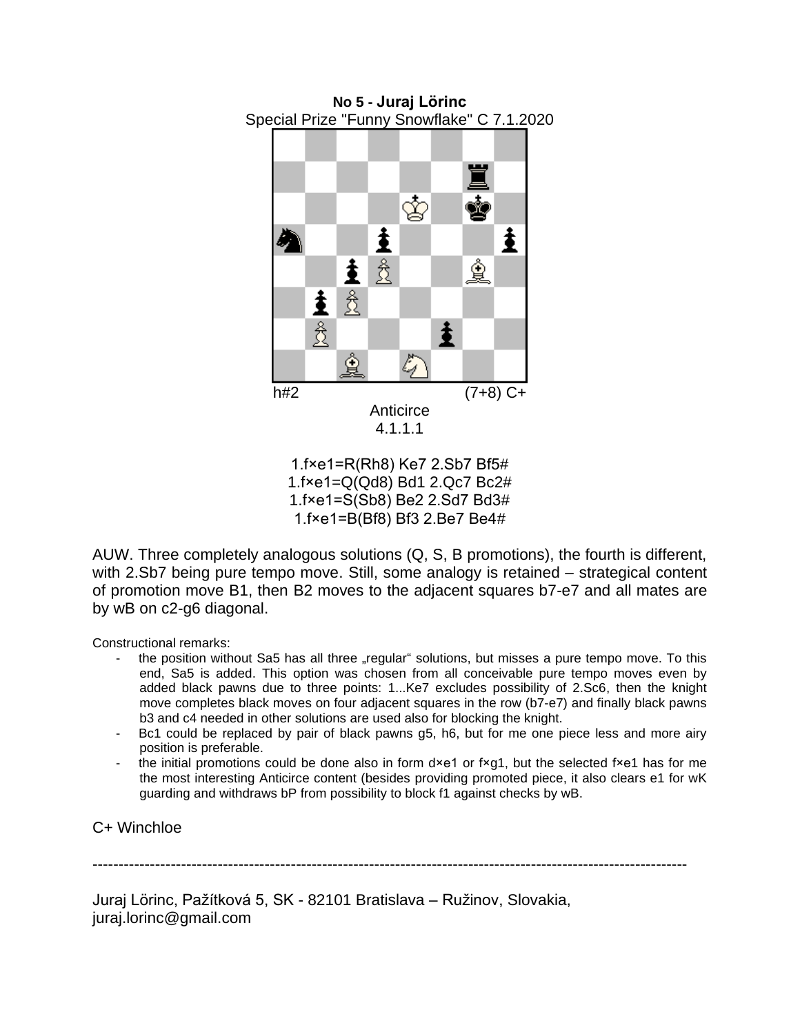

**No 5 - Juraj Lörinc**

1.f×e1=Q(Qd8) Bd1 2.Qc7 Bc2# 1.f×e1=S(Sb8) Be2 2.Sd7 Bd3# 1.f×e1=B(Bf8) Bf3 2.Be7 Be4#

AUW. Three completely analogous solutions (Q, S, B promotions), the fourth is different, with 2.Sb7 being pure tempo move. Still, some analogy is retained – strategical content of promotion move B1, then B2 moves to the adjacent squares b7-e7 and all mates are by wB on c2-g6 diagonal.

Constructional remarks:

- the position without Sa5 has all three "regular" solutions, but misses a pure tempo move. To this end, Sa5 is added. This option was chosen from all conceivable pure tempo moves even by added black pawns due to three points: 1...Ke7 excludes possibility of 2.Sc6, then the knight move completes black moves on four adjacent squares in the row (b7-e7) and finally black pawns b3 and c4 needed in other solutions are used also for blocking the knight.
- Bc1 could be replaced by pair of black pawns g5, h6, but for me one piece less and more airy position is preferable.
- the initial promotions could be done also in form d×e1 or f×g1, but the selected f×e1 has for me the most interesting Anticirce content (besides providing promoted piece, it also clears e1 for wK guarding and withdraws bP from possibility to block f1 against checks by wB.

# C+ Winchloe

------------------------------------------------------------------------------------------------------------------

Juraj Lörinc, Pažítková 5, SK - 82101 Bratislava – Ružinov, Slovakia, juraj.lorinc@gmail.com